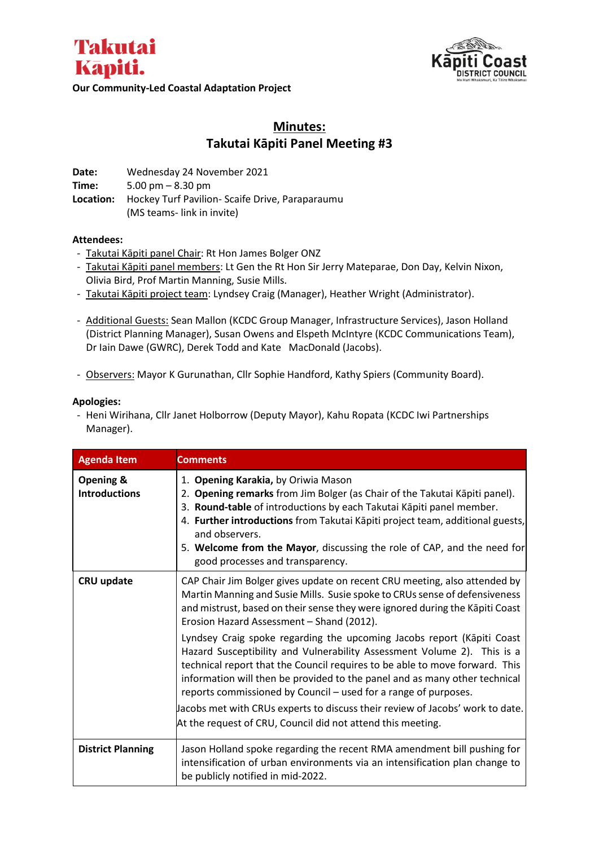



## **Minutes: Takutai Kāpiti Panel Meeting #3**

**Date:** Wednesday 24 November 2021

**Time:** 5.00 pm – 8.30 pm

**Location:** Hockey Turf Pavilion- Scaife Drive, Paraparaumu (MS teams- link in invite)

### **Attendees:**

- Takutai Kāpiti panel Chair: Rt Hon James Bolger ONZ
- Takutai Kāpiti panel members: Lt Gen the Rt Hon Sir Jerry Mateparae, Don Day, Kelvin Nixon, Olivia Bird, Prof Martin Manning, Susie Mills.
- Takutai Kāpiti project team: Lyndsey Craig (Manager), Heather Wright (Administrator).
- Additional Guests: Sean Mallon (KCDC Group Manager, Infrastructure Services), Jason Holland (District Planning Manager), Susan Owens and Elspeth McIntyre (KCDC Communications Team), Dr Iain Dawe (GWRC), Derek Todd and Kate MacDonald (Jacobs).
- Observers: Mayor K Gurunathan, Cllr Sophie Handford, Kathy Spiers (Community Board).

### **Apologies:**

- Heni Wirihana, Cllr Janet Holborrow (Deputy Mayor), Kahu Ropata (KCDC Iwi Partnerships Manager).

| <b>Agenda Item</b>                           | <b>Comments</b>                                                                                                                                                                                                                                                                                                                                                                                                                           |
|----------------------------------------------|-------------------------------------------------------------------------------------------------------------------------------------------------------------------------------------------------------------------------------------------------------------------------------------------------------------------------------------------------------------------------------------------------------------------------------------------|
| <b>Opening &amp;</b><br><b>Introductions</b> | 1. Opening Karakia, by Oriwia Mason<br>2. Opening remarks from Jim Bolger (as Chair of the Takutai Kāpiti panel).<br>3. Round-table of introductions by each Takutai Kāpiti panel member.<br>4. Further introductions from Takutai Kāpiti project team, additional guests,<br>and observers.<br>5. Welcome from the Mayor, discussing the role of CAP, and the need for<br>good processes and transparency.                               |
| <b>CRU update</b>                            | CAP Chair Jim Bolger gives update on recent CRU meeting, also attended by<br>Martin Manning and Susie Mills. Susie spoke to CRUs sense of defensiveness<br>and mistrust, based on their sense they were ignored during the Kāpiti Coast<br>Erosion Hazard Assessment - Shand (2012).<br>Lyndsey Craig spoke regarding the upcoming Jacobs report (Kāpiti Coast<br>Hazard Susceptibility and Vulnerability Assessment Volume 2). This is a |
|                                              | technical report that the Council requires to be able to move forward. This<br>information will then be provided to the panel and as many other technical<br>reports commissioned by Council – used for a range of purposes.<br>Jacobs met with CRUs experts to discuss their review of Jacobs' work to date.<br>At the request of CRU, Council did not attend this meeting.                                                              |
| <b>District Planning</b>                     | Jason Holland spoke regarding the recent RMA amendment bill pushing for<br>intensification of urban environments via an intensification plan change to<br>be publicly notified in mid-2022.                                                                                                                                                                                                                                               |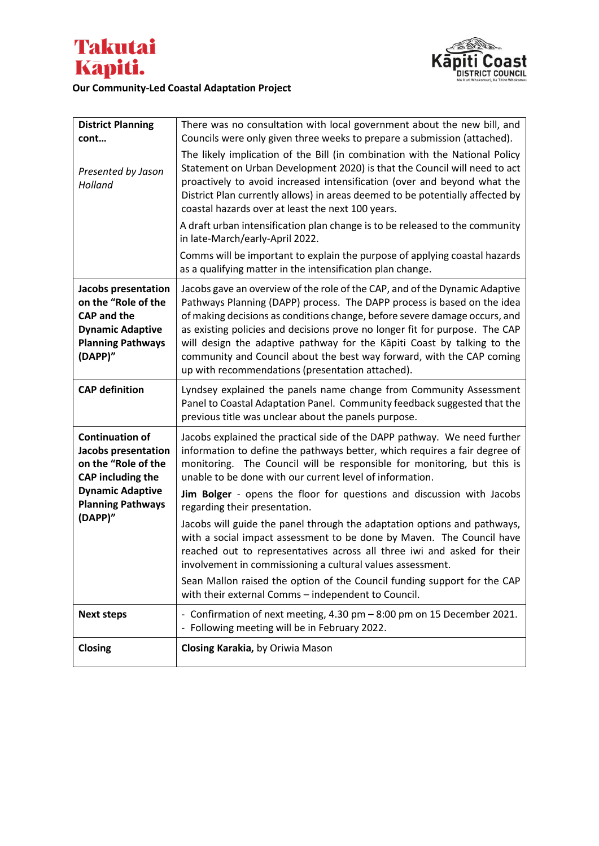



# **Our Community-Led Coastal Adaptation Project**

| <b>District Planning</b><br>cont                                                                                                          | There was no consultation with local government about the new bill, and<br>Councils were only given three weeks to prepare a submission (attached).                                                                                                                                                                                                                                                                                                                                                                         |
|-------------------------------------------------------------------------------------------------------------------------------------------|-----------------------------------------------------------------------------------------------------------------------------------------------------------------------------------------------------------------------------------------------------------------------------------------------------------------------------------------------------------------------------------------------------------------------------------------------------------------------------------------------------------------------------|
| Presented by Jason<br>Holland                                                                                                             | The likely implication of the Bill (in combination with the National Policy<br>Statement on Urban Development 2020) is that the Council will need to act<br>proactively to avoid increased intensification (over and beyond what the<br>District Plan currently allows) in areas deemed to be potentially affected by<br>coastal hazards over at least the next 100 years.                                                                                                                                                  |
|                                                                                                                                           | A draft urban intensification plan change is to be released to the community<br>in late-March/early-April 2022.                                                                                                                                                                                                                                                                                                                                                                                                             |
|                                                                                                                                           | Comms will be important to explain the purpose of applying coastal hazards<br>as a qualifying matter in the intensification plan change.                                                                                                                                                                                                                                                                                                                                                                                    |
| <b>Jacobs presentation</b><br>on the "Role of the<br><b>CAP and the</b><br><b>Dynamic Adaptive</b><br><b>Planning Pathways</b><br>(DAPP)" | Jacobs gave an overview of the role of the CAP, and of the Dynamic Adaptive<br>Pathways Planning (DAPP) process. The DAPP process is based on the idea<br>of making decisions as conditions change, before severe damage occurs, and<br>as existing policies and decisions prove no longer fit for purpose. The CAP<br>will design the adaptive pathway for the Kāpiti Coast by talking to the<br>community and Council about the best way forward, with the CAP coming<br>up with recommendations (presentation attached). |
| <b>CAP definition</b>                                                                                                                     | Lyndsey explained the panels name change from Community Assessment<br>Panel to Coastal Adaptation Panel. Community feedback suggested that the<br>previous title was unclear about the panels purpose.                                                                                                                                                                                                                                                                                                                      |
| <b>Continuation of</b><br><b>Jacobs presentation</b><br>on the "Role of the<br>CAP including the                                          | Jacobs explained the practical side of the DAPP pathway. We need further<br>information to define the pathways better, which requires a fair degree of<br>monitoring. The Council will be responsible for monitoring, but this is<br>unable to be done with our current level of information.                                                                                                                                                                                                                               |
| <b>Dynamic Adaptive</b><br><b>Planning Pathways</b>                                                                                       | Jim Bolger - opens the floor for questions and discussion with Jacobs<br>regarding their presentation.                                                                                                                                                                                                                                                                                                                                                                                                                      |
| (DAPP)"                                                                                                                                   | Jacobs will guide the panel through the adaptation options and pathways,<br>with a social impact assessment to be done by Maven. The Council have<br>reached out to representatives across all three iwi and asked for their<br>involvement in commissioning a cultural values assessment.                                                                                                                                                                                                                                  |
|                                                                                                                                           | Sean Mallon raised the option of the Council funding support for the CAP<br>with their external Comms - independent to Council.                                                                                                                                                                                                                                                                                                                                                                                             |
| <b>Next steps</b>                                                                                                                         | - Confirmation of next meeting, 4.30 pm - 8:00 pm on 15 December 2021.<br>- Following meeting will be in February 2022.                                                                                                                                                                                                                                                                                                                                                                                                     |
| <b>Closing</b>                                                                                                                            | Closing Karakia, by Oriwia Mason                                                                                                                                                                                                                                                                                                                                                                                                                                                                                            |